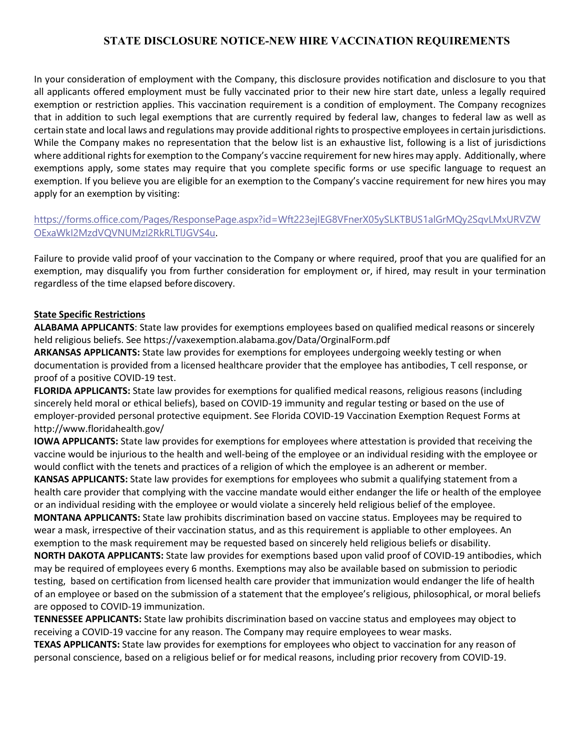## **STATE DISCLOSURE NOTICE-NEW HIRE VACCINATION REQUIREMENTS**

In your consideration of employment with the Company, this disclosure provides notification and disclosure to you that all applicants offered employment must be fully vaccinated prior to their new hire start date, unless a legally required exemption or restriction applies. This vaccination requirement is a condition of employment. The Company recognizes that in addition to such legal exemptions that are currently required by federal law, changes to federal law as well as certain state and local laws and regulations may provide additional rights to prospective employees in certain jurisdictions. While the Company makes no representation that the below list is an exhaustive list, following is a list of jurisdictions where additional rights for exemption to the Company's vaccine requirement for new hires may apply. Additionally, where exemptions apply, some states may require that you complete specific forms or use specific language to request an exemption. If you believe you are eligible for an exemption to the Company's vaccine requirement for new hires you may apply for an exemption by visiting:

## [https://forms.office.com/Pages/ResponsePage.aspx?id=Wft223ejIEG8VFnerX05ySLKTBUS1alGrMQy2SqvLMxURVZW](https://forms.office.com/Pages/ResponsePage.aspx?id=Wft223ejIEG8VFnerX05ySLKTBUS1alGrMQy2SqvLMxURVZWOExaWkI2MzdVQVNUMzI2RkRLTlJGVS4u) [OExaWkI2MzdVQVNUMzI2RkRLTlJGVS4u](https://forms.office.com/Pages/ResponsePage.aspx?id=Wft223ejIEG8VFnerX05ySLKTBUS1alGrMQy2SqvLMxURVZWOExaWkI2MzdVQVNUMzI2RkRLTlJGVS4u)[.](https://forms.office.com/Pages/ResponsePage.aspx?id=Wft223ejIEG8VFnerX05ySLKTBUS1alGrMQy2SqvLMxURVZWOExaWkI2MzdVQVNUMzI2RkRLTlJGVS4u)

Failure to provide valid proof of your vaccination to the Company or where required, proof that you are qualified for an exemption, may disqualify you from further consideration for employment or, if hired, may result in your termination regardless of the time elapsed before discovery.

## **State Specific Restrictions**

**ALABAMA APPLICANTS**: State law provides for exemptions employees based on qualified medical reasons or sincerely held religious beliefs. See https://vaxexemption.alabama.gov/Data/OrginalForm.pdf

**ARKANSAS APPLICANTS:** State law provides for exemptions for employees undergoing weekly testing or when documentation is provided from a licensed healthcare provider that the employee has antibodies, T cell response, or proof of a positive COVID-19 test.

**FLORIDA APPLICANTS:** State law provides for exemptions for qualified medical reasons, religious reasons (including sincerely held moral or ethical beliefs), based on COVID-19 immunity and regular testing or based on the use of employer-provided personal protective equipment. See Florida COVID-19 Vaccination Exemption Request Forms a[t](http://www.floridahealth.gov/) <http://www.floridahealth.gov/>

**IOWA APPLICANTS:** State law provides for exemptions for employees where attestation is provided that receiving the vaccine would be injurious to the health and well-being of the employee or an individual residing with the employee or would conflict with the tenets and practices of a religion of which the employee is an adherent or member. **KANSAS APPLICANTS:** State law provides for exemptions for employees who submit a qualifying statement from a health care provider that complying with the vaccine mandate would either endanger the life or health of the employee or an individual residing with the employee or would violate a sincerely held religious belief of the employee. **MONTANA APPLICANTS:** State law prohibits discrimination based on vaccine status. Employees may be required to wear a mask, irrespective of their vaccination status, and as this requirement is appliable to other employees. An exemption to the mask requirement may be requested based on sincerely held religious beliefs or disability. **NORTH DAKOTA APPLICANTS:** State law provides for exemptions based upon valid proof of COVID-19 antibodies, which may be required of employees every 6 months. Exemptions may also be available based on submission to periodic testing, based on certification from licensed health care provider that immunization would endanger the life of health of an employee or based on the submission of a statement that the employee's religious, philosophical, or moral beliefs are opposed to COVID-19 immunization.

**TENNESSEE APPLICANTS:** State law prohibits discrimination based on vaccine status and employees may object to receiving a COVID-19 vaccine for any reason. The Company may require employees to wear masks.

**TEXAS APPLICANTS:** State law provides for exemptions for employees who object to vaccination for any reason of personal conscience, based on a religious belief or for medical reasons, including prior recovery from COVID-19.